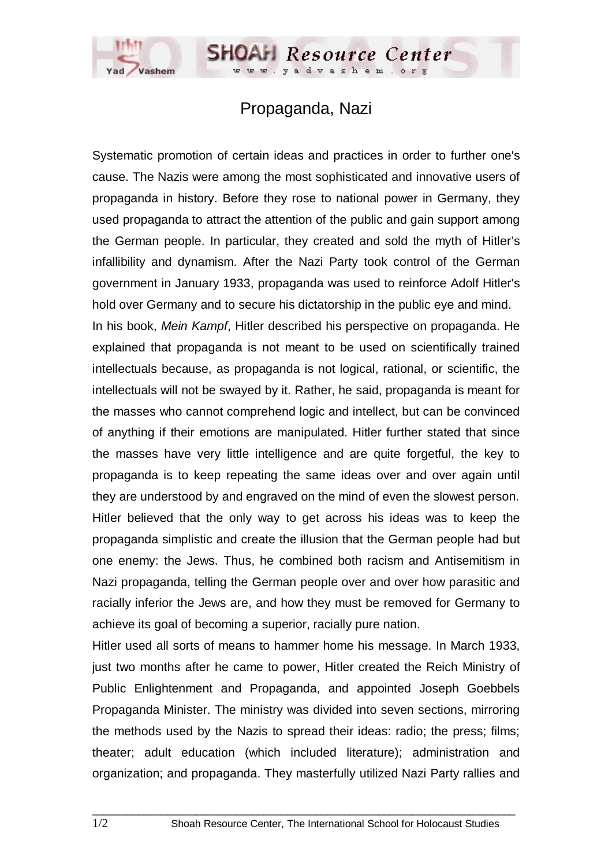## Propaganda, Nazi

**SHOAH Resource Center** 

dvashem.

Systematic promotion of certain ideas and practices in order to further one's cause. The Nazis were among the most sophisticated and innovative users of propaganda in history. Before they rose to national power in Germany, they used propaganda to attract the attention of the public and gain support among the German people. In particular, they created and sold the myth of Hitler's infallibility and dynamism. After the Nazi Party took control of the German government in January 1933, propaganda was used to reinforce Adolf Hitler's hold over Germany and to secure his dictatorship in the public eye and mind. In his book, *Mein Kampf*, Hitler described his perspective on propaganda. He explained that propaganda is not meant to be used on scientifically trained intellectuals because, as propaganda is not logical, rational, or scientific, the intellectuals will not be swayed by it. Rather, he said, propaganda is meant for the masses who cannot comprehend logic and intellect, but can be convinced of anything if their emotions are manipulated. Hitler further stated that since the masses have very little intelligence and are quite forgetful, the key to propaganda is to keep repeating the same ideas over and over again until they are understood by and engraved on the mind of even the slowest person. Hitler believed that the only way to get across his ideas was to keep the propaganda simplistic and create the illusion that the German people had but one enemy: the Jews. Thus, he combined both racism and Antisemitism in Nazi propaganda, telling the German people over and over how parasitic and racially inferior the Jews are, and how they must be removed for Germany to achieve its goal of becoming a superior, racially pure nation.

Hitler used all sorts of means to hammer home his message. In March 1933, just two months after he came to power, Hitler created the Reich Ministry of Public Enlightenment and Propaganda, and appointed Joseph Goebbels Propaganda Minister. The ministry was divided into seven sections, mirroring the methods used by the Nazis to spread their ideas: radio; the press; films; theater; adult education (which included literature); administration and organization; and propaganda. They masterfully utilized Nazi Party rallies and

 $\_$  ,  $\_$  ,  $\_$  ,  $\_$  ,  $\_$  ,  $\_$  ,  $\_$  ,  $\_$  ,  $\_$  ,  $\_$  ,  $\_$  ,  $\_$  ,  $\_$  ,  $\_$  ,  $\_$  ,  $\_$  ,  $\_$  ,  $\_$  ,  $\_$